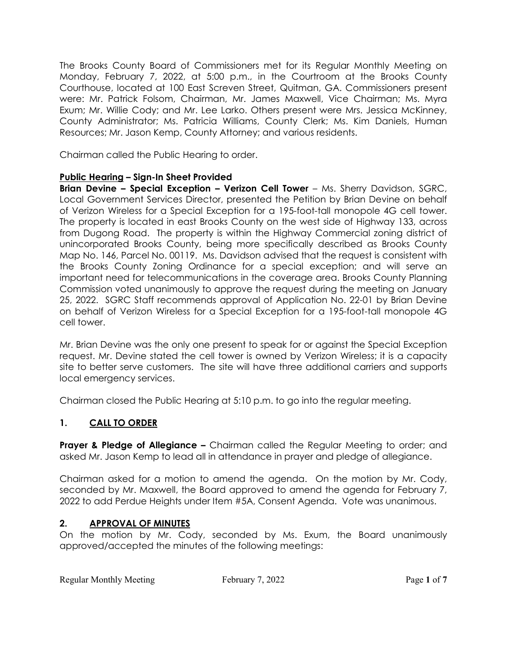The Brooks County Board of Commissioners met for its Regular Monthly Meeting on Monday, February 7, 2022, at 5:00 p.m., in the Courtroom at the Brooks County Courthouse, located at 100 East Screven Street, Quitman, GA. Commissioners present were: Mr. Patrick Folsom, Chairman, Mr. James Maxwell, Vice Chairman; Ms. Myra Exum; Mr. Willie Cody; and Mr. Lee Larko. Others present were Mrs. Jessica McKinney, County Administrator; Ms. Patricia Williams, County Clerk; Ms. Kim Daniels, Human Resources; Mr. Jason Kemp, County Attorney; and various residents.

Chairman called the Public Hearing to order.

## **Public Hearing – Sign-In Sheet Provided**

**Brian Devine - Special Exception - Verizon Cell Tower** - Ms. Sherry Davidson, SGRC, Local Government Services Director, presented the Petition by Brian Devine on behalf of Verizon Wireless for a Special Exception for a 195-foot-tall monopole 4G cell tower. The property is located in east Brooks County on the west side of Highway 133, across from Dugong Road. The property is within the Highway Commercial zoning district of unincorporated Brooks County, being more specifically described as Brooks County Map No. 146, Parcel No. 00119. Ms. Davidson advised that the request is consistent with the Brooks County Zoning Ordinance for a special exception; and will serve an important need for telecommunications in the coverage area. Brooks County Planning Commission voted unanimously to approve the request during the meeting on January 25, 2022. SGRC Staff recommends approval of Application No. 22-01 by Brian Devine on behalf of Verizon Wireless for a Special Exception for a 195-foot-tall monopole 4G cell tower.

Mr. Brian Devine was the only one present to speak for or against the Special Exception request. Mr. Devine stated the cell tower is owned by Verizon Wireless; it is a capacity site to better serve customers. The site will have three additional carriers and supports local emergency services.

Chairman closed the Public Hearing at 5:10 p.m. to go into the regular meeting.

## **1. CALL TO ORDER**

**Prayer & Pledge of Allegiance –** Chairman called the Regular Meeting to order; and asked Mr. Jason Kemp to lead all in attendance in prayer and pledge of allegiance.

Chairman asked for a motion to amend the agenda. On the motion by Mr. Cody, seconded by Mr. Maxwell, the Board approved to amend the agenda for February 7, 2022 to add Perdue Heights under Item #5A, Consent Agenda. Vote was unanimous.

#### **2. APPROVAL OF MINUTES**

On the motion by Mr. Cody, seconded by Ms. Exum, the Board unanimously approved/accepted the minutes of the following meetings: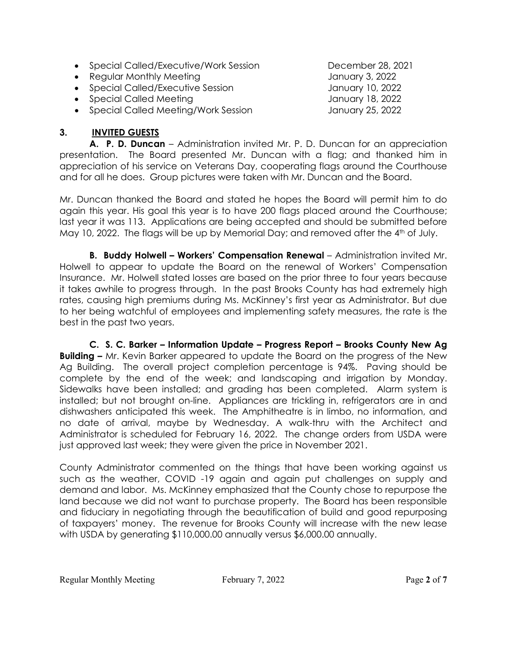- Special Called/Executive/Work Session December 28, 2021
- Regular Monthly Meeting **Fig. 2022** January 3, 2022
- Special Called/Executive Session and Manuary 10, 2022
- Special Called Meeting **Called Accord Called Accord Called Accord Called Accord Called Accord Called Accord January 18, 2022**
- Special Called Meeting/Work Session January 25, 2022

#### **3. INVITED GUESTS**

**A. P. D. Duncan** – Administration invited Mr. P. D. Duncan for an appreciation presentation. The Board presented Mr. Duncan with a flag; and thanked him in appreciation of his service on Veterans Day, cooperating flags around the Courthouse and for all he does. Group pictures were taken with Mr. Duncan and the Board.

Mr. Duncan thanked the Board and stated he hopes the Board will permit him to do again this year. His goal this year is to have 200 flags placed around the Courthouse; last year it was 113. Applications are being accepted and should be submitted before May 10, 2022. The flags will be up by Memorial Day; and removed after the 4<sup>th</sup> of July.

**B. Buddy Holwell – Workers' Compensation Renewal** – Administration invited Mr. Holwell to appear to update the Board on the renewal of Workers' Compensation Insurance. Mr. Holwell stated losses are based on the prior three to four years because it takes awhile to progress through. In the past Brooks County has had extremely high rates, causing high premiums during Ms. McKinney's first year as Administrator. But due to her being watchful of employees and implementing safety measures, the rate is the best in the past two years.

**C. S. C. Barker – Information Update – Progress Report – Brooks County New Ag Building –** Mr. Kevin Barker appeared to update the Board on the progress of the New Ag Building. The overall project completion percentage is 94%. Paving should be complete by the end of the week; and landscaping and irrigation by Monday. Sidewalks have been installed; and grading has been completed. Alarm system is installed; but not brought on-line. Appliances are trickling in, refrigerators are in and dishwashers anticipated this week. The Amphitheatre is in limbo, no information, and no date of arrival, maybe by Wednesday. A walk-thru with the Architect and Administrator is scheduled for February 16, 2022. The change orders from USDA were just approved last week; they were given the price in November 2021.

County Administrator commented on the things that have been working against us such as the weather, COVID -19 again and again put challenges on supply and demand and labor. Ms. McKinney emphasized that the County chose to repurpose the land because we did not want to purchase property. The Board has been responsible and fiduciary in negotiating through the beautification of build and good repurposing of taxpayers' money. The revenue for Brooks County will increase with the new lease with USDA by generating \$110,000.00 annually versus \$6,000.00 annually.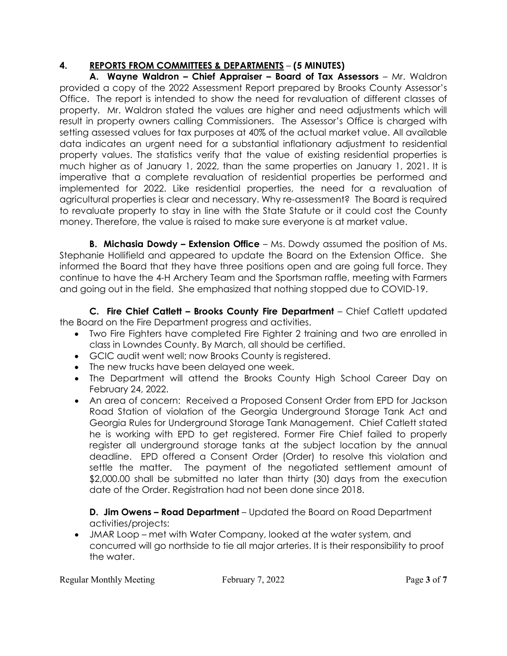# **4. REPORTS FROM COMMITTEES & DEPARTMENTS** – **(5 MINUTES)**

**A. Wayne Waldron – Chief Appraiser – Board of Tax Assessors** – Mr. Waldron provided a copy of the 2022 Assessment Report prepared by Brooks County Assessor's Office. The report is intended to show the need for revaluation of different classes of property. Mr. Waldron stated the values are higher and need adjustments which will result in property owners calling Commissioners. The Assessor's Office is charged with setting assessed values for tax purposes at 40% of the actual market value. All available data indicates an urgent need for a substantial inflationary adjustment to residential property values. The statistics verify that the value of existing residential properties is much higher as of January 1, 2022, than the same properties on January 1, 2021. It is imperative that a complete revaluation of residential properties be performed and implemented for 2022. Like residential properties, the need for a revaluation of agricultural properties is clear and necessary. Why re-assessment? The Board is required to revaluate property to stay in line with the State Statute or it could cost the County money. Therefore, the value is raised to make sure everyone is at market value.

**B. Michasia Dowdy – Extension Office** – Ms. Dowdy assumed the position of Ms. Stephanie Hollifield and appeared to update the Board on the Extension Office. She informed the Board that they have three positions open and are going full force. They continue to have the 4-H Archery Team and the Sportsman raffle, meeting with Farmers and going out in the field. She emphasized that nothing stopped due to COVID-19.

**C. Fire Chief Catlett – Brooks County Fire Department** – Chief Catlett updated the Board on the Fire Department progress and activities.

- Two Fire Fighters have completed Fire Fighter 2 training and two are enrolled in class in Lowndes County. By March, all should be certified.
- GCIC audit went well; now Brooks County is registered.
- The new trucks have been delayed one week.
- The Department will attend the Brooks County High School Career Day on February 24, 2022.
- An area of concern: Received a Proposed Consent Order from EPD for Jackson Road Station of violation of the Georgia Underground Storage Tank Act and Georgia Rules for Underground Storage Tank Management. Chief Catlett stated he is working with EPD to get registered. Former Fire Chief failed to properly register all underground storage tanks at the subject location by the annual deadline. EPD offered a Consent Order (Order) to resolve this violation and settle the matter. The payment of the negotiated settlement amount of \$2,000.00 shall be submitted no later than thirty (30) days from the execution date of the Order. Registration had not been done since 2018.

#### **D. Jim Owens – Road Department** – Updated the Board on Road Department activities/projects:

• JMAR Loop – met with Water Company, looked at the water system, and concurred will go northside to tie all major arteries. It is their responsibility to proof the water.

Regular Monthly Meeting February 7, 2022 Page **3** of **7**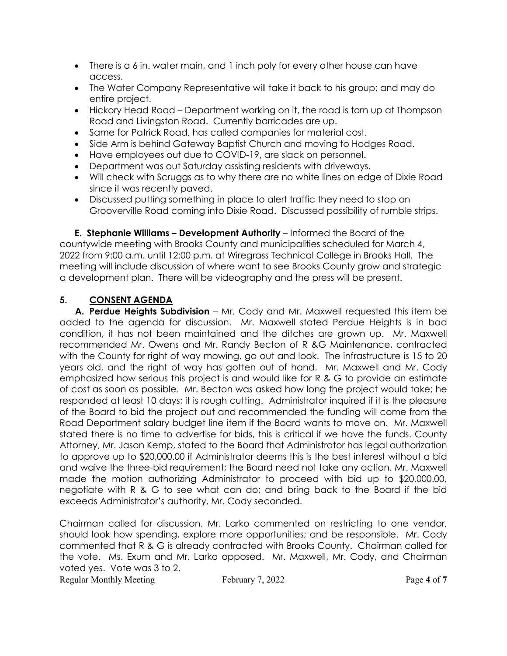- There is a 6 in. water main, and 1 inch poly for every other house can have access.
- The Water Company Representative will take it back to his group; and may do entire project.
- Hickory Head Road Department working on it, the road is torn up at Thompson Road and Livingston Road. Currently barricades are up.
- Same for Patrick Road, has called companies for material cost.
- Side Arm is behind Gateway Baptist Church and moving to Hodges Road.
- Have employees out due to COVID-19, are slack on personnel.
- Department was out Saturday assisting residents with driveways.
- Will check with Scruggs as to why there are no white lines on edge of Dixie Road since it was recently paved.
- Discussed putting something in place to alert traffic they need to stop on Grooverville Road coming into Dixie Road. Discussed possibility of rumble strips.

**E. Stephanie Williams – Development Authority** – Informed the Board of the countywide meeting with Brooks County and municipalities scheduled for March 4, 2022 from 9:00 a.m. until 12:00 p.m. at Wiregrass Technical College in Brooks Hall. The meeting will include discussion of where want to see Brooks County grow and strategic a development plan. There will be videography and the press will be present.

# **5. CONSENT AGENDA**

**A. Perdue Heights Subdivision** – Mr. Cody and Mr. Maxwell requested this item be added to the agenda for discussion. Mr. Maxwell stated Perdue Heights is in bad condition, it has not been maintained and the ditches are grown up. Mr. Maxwell recommended Mr. Owens and Mr. Randy Becton of R &G Maintenance, contracted with the County for right of way mowing, go out and look. The infrastructure is 15 to 20 years old, and the right of way has gotten out of hand. Mr. Maxwell and Mr. Cody emphasized how serious this project is and would like for R & G to provide an estimate of cost as soon as possible. Mr. Becton was asked how long the project would take; he responded at least 10 days; it is rough cutting. Administrator inquired if it is the pleasure of the Board to bid the project out and recommended the funding will come from the Road Department salary budget line item if the Board wants to move on. Mr. Maxwell stated there is no time to advertise for bids, this is critical if we have the funds. County Attorney, Mr. Jason Kemp, stated to the Board that Administrator has legal authorization to approve up to \$20,000.00 if Administrator deems this is the best interest without a bid and waive the three-bid requirement; the Board need not take any action. Mr. Maxwell made the motion authorizing Administrator to proceed with bid up to \$20,000.00, negotiate with R & G to see what can do; and bring back to the Board if the bid exceeds Administrator's authority, Mr. Cody seconded.

Chairman called for discussion. Mr. Larko commented on restricting to one vendor, should look how spending, explore more opportunities; and be responsible. Mr. Cody commented that R & G is already contracted with Brooks County. Chairman called for the vote. Ms. Exum and Mr. Larko opposed. Mr. Maxwell, Mr. Cody, and Chairman voted yes. Vote was 3 to 2.

Regular Monthly Meeting February 7, 2022 Page **4** of **7**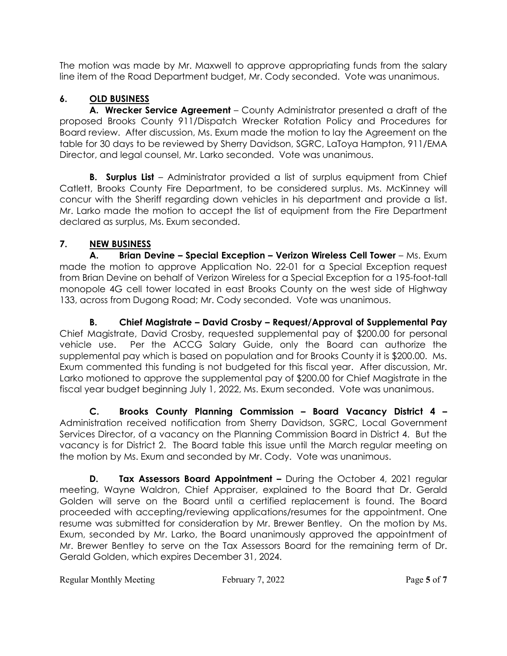The motion was made by Mr. Maxwell to approve appropriating funds from the salary line item of the Road Department budget, Mr. Cody seconded. Vote was unanimous.

# **6. OLD BUSINESS**

**A. Wrecker Service Agreement** – County Administrator presented a draft of the proposed Brooks County 911/Dispatch Wrecker Rotation Policy and Procedures for Board review. After discussion, Ms. Exum made the motion to lay the Agreement on the table for 30 days to be reviewed by Sherry Davidson, SGRC, LaToya Hampton, 911/EMA Director, and legal counsel, Mr. Larko seconded. Vote was unanimous.

**B.** Surplus List – Administrator provided a list of surplus equipment from Chief Catlett, Brooks County Fire Department, to be considered surplus. Ms. McKinney will concur with the Sheriff regarding down vehicles in his department and provide a list. Mr. Larko made the motion to accept the list of equipment from the Fire Department declared as surplus, Ms. Exum seconded.

# **7. NEW BUSINESS**

**A.** Brian Devine - Special Exception - Verizon Wireless Cell Tower - Ms. Exum made the motion to approve Application No. 22-01 for a Special Exception request from Brian Devine on behalf of Verizon Wireless for a Special Exception for a 195-foot-tall monopole 4G cell tower located in east Brooks County on the west side of Highway 133, across from Dugong Road; Mr. Cody seconded. Vote was unanimous.

**B. Chief Magistrate – David Crosby – Request/Approval of Supplemental Pay** Chief Magistrate, David Crosby, requested supplemental pay of \$200.00 for personal vehicle use. Per the ACCG Salary Guide, only the Board can authorize the supplemental pay which is based on population and for Brooks County it is \$200.00. Ms. Exum commented this funding is not budgeted for this fiscal year. After discussion, Mr. Larko motioned to approve the supplemental pay of \$200.00 for Chief Magistrate in the fiscal year budget beginning July 1, 2022, Ms. Exum seconded. Vote was unanimous.

**C. Brooks County Planning Commission – Board Vacancy District 4 –**  Administration received notification from Sherry Davidson, SGRC, Local Government Services Director, of a vacancy on the Planning Commission Board in District 4. But the vacancy is for District 2. The Board table this issue until the March regular meeting on the motion by Ms. Exum and seconded by Mr. Cody. Vote was unanimous.

**D.** Tax Assessors Board Appointment – During the October 4, 2021 regular meeting, Wayne Waldron, Chief Appraiser, explained to the Board that Dr. Gerald Golden will serve on the Board until a certified replacement is found. The Board proceeded with accepting/reviewing applications/resumes for the appointment. One resume was submitted for consideration by Mr. Brewer Bentley. On the motion by Ms. Exum, seconded by Mr. Larko, the Board unanimously approved the appointment of Mr. Brewer Bentley to serve on the Tax Assessors Board for the remaining term of Dr. Gerald Golden, which expires December 31, 2024.

Regular Monthly Meeting February 7, 2022 Page 5 of 7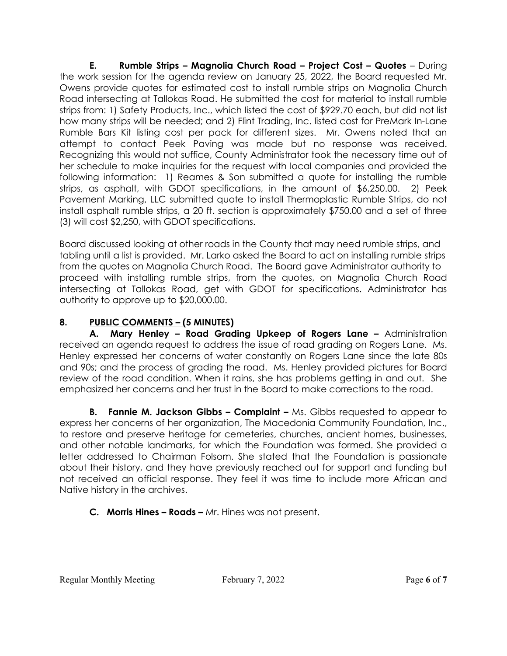**E. Rumble Strips – Magnolia Church Road – Project Cost – Quotes** – During the work session for the agenda review on January 25, 2022, the Board requested Mr. Owens provide quotes for estimated cost to install rumble strips on Magnolia Church Road intersecting at Tallokas Road. He submitted the cost for material to install rumble strips from: 1) Safety Products, Inc., which listed the cost of \$929.70 each, but did not list how many strips will be needed; and 2) Flint Trading, Inc. listed cost for PreMark In-Lane Rumble Bars Kit listing cost per pack for different sizes. Mr. Owens noted that an attempt to contact Peek Paving was made but no response was received. Recognizing this would not suffice, County Administrator took the necessary time out of her schedule to make inquiries for the request with local companies and provided the following information: 1) Reames & Son submitted a quote for installing the rumble strips, as asphalt, with GDOT specifications, in the amount of \$6,250.00. 2) Peek Pavement Marking, LLC submitted quote to install Thermoplastic Rumble Strips, do not install asphalt rumble strips, a 20 ft. section is approximately \$750.00 and a set of three (3) will cost \$2,250, with GDOT specifications.

Board discussed looking at other roads in the County that may need rumble strips, and tabling until a list is provided. Mr. Larko asked the Board to act on installing rumble strips from the quotes on Magnolia Church Road. The Board gave Administrator authority to proceed with installing rumble strips, from the quotes, on Magnolia Church Road intersecting at Tallokas Road, get with GDOT for specifications. Administrator has authority to approve up to \$20,000.00.

# **8. PUBLIC COMMENTS – (5 MINUTES)**

**A. Mary Henley – Road Grading Upkeep of Rogers Lane –** Administration received an agenda request to address the issue of road grading on Rogers Lane. Ms. Henley expressed her concerns of water constantly on Rogers Lane since the late 80s and 90s; and the process of grading the road. Ms. Henley provided pictures for Board review of the road condition. When it rains, she has problems getting in and out.She emphasized her concerns and her trust in the Board to make corrections to the road.

**B. Fannie M. Jackson Gibbs – Complaint –** Ms. Gibbs requested to appear to express her concerns of her organization, The Macedonia Community Foundation, Inc., to restore and preserve heritage for cemeteries, churches, ancient homes, businesses, and other notable landmarks, for which the Foundation was formed. She provided a letter addressed to Chairman Folsom. She stated that the Foundation is passionate about their history, and they have previously reached out for support and funding but not received an official response. They feel it was time to include more African and Native history in the archives.

# **C. Morris Hines – Roads –** Mr. Hines was not present.